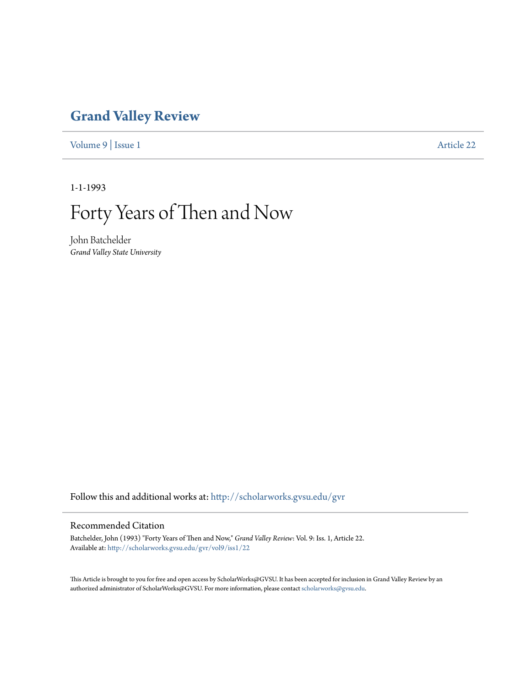# **[Grand Valley Review](http://scholarworks.gvsu.edu/gvr?utm_source=scholarworks.gvsu.edu%2Fgvr%2Fvol9%2Fiss1%2F22&utm_medium=PDF&utm_campaign=PDFCoverPages)**

[Volume 9](http://scholarworks.gvsu.edu/gvr/vol9?utm_source=scholarworks.gvsu.edu%2Fgvr%2Fvol9%2Fiss1%2F22&utm_medium=PDF&utm_campaign=PDFCoverPages) | [Issue 1](http://scholarworks.gvsu.edu/gvr/vol9/iss1?utm_source=scholarworks.gvsu.edu%2Fgvr%2Fvol9%2Fiss1%2F22&utm_medium=PDF&utm_campaign=PDFCoverPages) [Article 22](http://scholarworks.gvsu.edu/gvr/vol9/iss1/22?utm_source=scholarworks.gvsu.edu%2Fgvr%2Fvol9%2Fiss1%2F22&utm_medium=PDF&utm_campaign=PDFCoverPages)

1-1-1993

# Forty Years of Then and Now

John Batchelder *Grand Valley State University*

Follow this and additional works at: [http://scholarworks.gvsu.edu/gvr](http://scholarworks.gvsu.edu/gvr?utm_source=scholarworks.gvsu.edu%2Fgvr%2Fvol9%2Fiss1%2F22&utm_medium=PDF&utm_campaign=PDFCoverPages)

### Recommended Citation

Batchelder, John (1993) "Forty Years of Then and Now," *Grand Valley Review*: Vol. 9: Iss. 1, Article 22. Available at: [http://scholarworks.gvsu.edu/gvr/vol9/iss1/22](http://scholarworks.gvsu.edu/gvr/vol9/iss1/22?utm_source=scholarworks.gvsu.edu%2Fgvr%2Fvol9%2Fiss1%2F22&utm_medium=PDF&utm_campaign=PDFCoverPages)

This Article is brought to you for free and open access by ScholarWorks@GVSU. It has been accepted for inclusion in Grand Valley Review by an authorized administrator of ScholarWorks@GVSU. For more information, please contact [scholarworks@gvsu.edu.](mailto:scholarworks@gvsu.edu)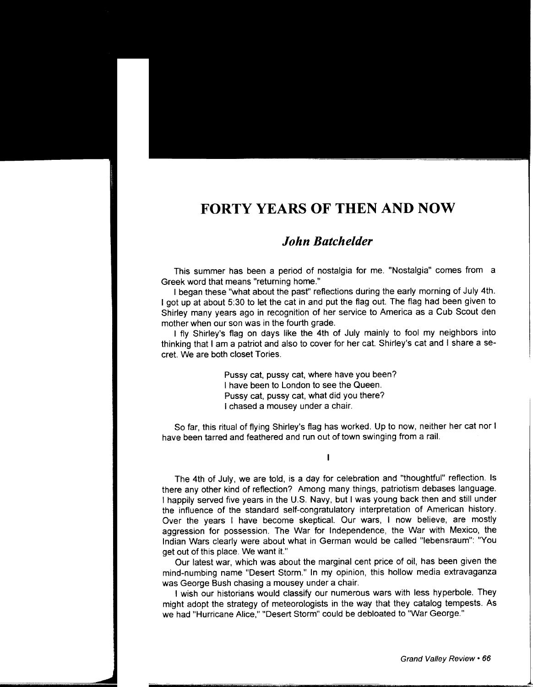## **FORTY YEARS OF THEN AND NOW**

### *John Batchelder*

This summer has been a period of nostalgia for me. "Nostalgia" comes from a Greek word that means "returning home."

I began these "what about the past" reflections during the early morning of July 4th. I got up at about 5:30 to let the cat in and put the flag out. The flag had been given to Shirley many years ago in recognition of her service to America as a Cub Scout den mother when our son was in the fourth grade.

I fly Shirley's flag on days like the 4th of July mainly to fool my neighbors into thinking that I am a patriot and also to cover for her cat. Shirley's cat and I share a secret. We are both closet Tories.

> Pussy cat, pussy cat, where have you been? I have been to London to see the Queen. Pussy cat, pussy cat, what did you there? I chased a mousey under a chair.

So far, this ritual of flying Shirley's flag has worked. Up to now, neither her cat nor I have been tarred and feathered and run out of town swinging from a rail.

I

The 4th of July, we are told, is a day for celebration and "thoughtful" reflection. Is there any other kind of reflection? Among many things, patriotism debases language. I happily served five years in the U.S. Navy, but I was young back then and still under the influence of the standard self-congratulatory interpretation of American history. Over the years I have become skeptical. Our wars, I now believe, are mostly aggression for possession. The War for Independence, the War with Mexico, the Indian Wars clearly were about what in German would be called "lebensraum": "You get out of this place. We want it."

Our latest war, which was about the marginal cent price of oil, has been given the mind-numbing name "Desert Storm." In my opinion, this hollow media extravaganza was George Bush chasing a mousey under a chair.

I wish our historians would classify our numerous wars with less hyperbole. They might adopt the strategy of meteorologists in the way that they catalog tempests. As we had "Hurricane Alice," "Desert Storm" could be debloated to "War George."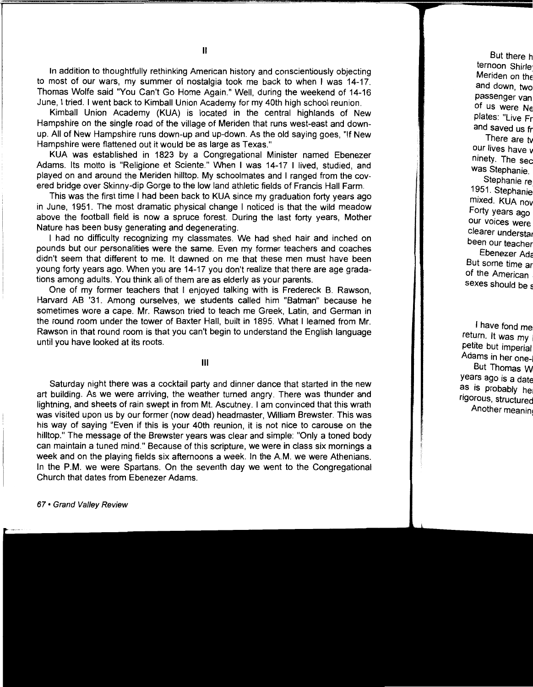In addition to thoughtfully rethinking American history and conscientiously objecting to most of our wars, my summer of nostalgia took me back to when I was 14-17. Thomas Wolfe said "You Can't Go Home Again." Well, during the weekend of 14-16 June, I tried. I went back to Kimball Union Academy for my 40th high school reunion.

Kimball Union Academy (KUA) is located in the central highlands of New Hampshire on the single road of the village of Meriden that runs west-east and downup. All of New Hampshire runs down-up and up-down. As the old saying goes, "If New Hampshire were flattened out it would be as large as Texas."

KUA was established in 1823 by a Congregational Minister named Ebenezer Adams. Its motto is "Religione et Sciente." When I was 14-17 I lived, studied, and played on and around the Meriden hilltop. My schoolmates and I ranged from the covered bridge over Skinny-dip Gorge to the low land athletic fields of Francis Hall Farm.

This was the first time I had been back to KUA since my graduation forty years ago in June, 1951. The most dramatic physical change I noticed is that the wild meadow above the football field is now a spruce forest. During the last forty years, Mother Nature has been busy generating and degenerating.

I had no difficulty recognizing my classmates. We had shed hair and inched on pounds but our personalities were the same. Even my former teachers and coaches didn't seem that different to me. It dawned on me that these men must have been young forty years ago. When you are 14-17 you don't realize that there are age gradations among adults. You think all of them are as elderly as your parents.

One of my former teachers that I enjoyed talking with is Fredereck B. Rawson, Harvard AB '31. Among ourselves, we students called him "Batman" because he sometimes wore a cape. Mr. Rawson tried to teach me Greek, Latin, and German in the round room under the tower of Baxter Hall, built in 1895. What I learned from Mr. Rawson in that round room is that you can't begin to understand the English language until you have looked at its roots.

#### Ill

Saturday night there was a cocktail party and dinner dance that started in the new art building. As we were arriving, the weather turned angry. There was thunder and lightning, and sheets of rain swept in from Mt. Ascutney. I am convinced that this wrath was visited upon us by our former (now dead) headmaster, William Brewster. This was his way of saying "Even if this is your 40th reunion, it is not nice to carouse on the hilltop." The message of the Brewster years was clear and simple: "Only a toned body can maintain a tuned mind." Because of this scripture, we were in class six mornings a week and on the playing fields six afternoons a week. In the A.M. we were Athenians. In the P.M. we were Spartans. On the seventh day we went to the Congregational Church that dates from Ebenezer Adams.